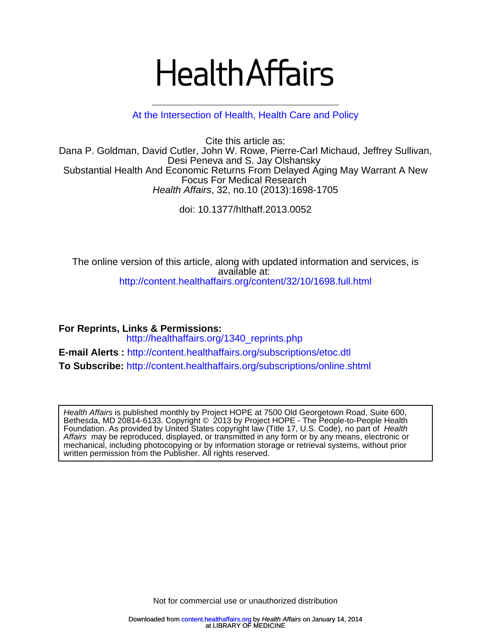# **Health Affairs**

[At the Intersection of Health, Health Care and Policy](http://www.healthaffairs.org)

Health Affairs, 32, no.10 (2013):1698-1705 Focus For Medical Research Substantial Health And Economic Returns From Delayed Aging May Warrant A New Desi Peneva and S. Jay Olshansky Dana P. Goldman, David Cutler, John W. Rowe, Pierre-Carl Michaud, Jeffrey Sullivan, Cite this article as:

doi: 10.1377/hlthaff.2013.0052

<http://content.healthaffairs.org/content/32/10/1698.full.html> available at: The online version of this article, along with updated information and services, is

**For Reprints, Links & Permissions:**  [http://healthaffairs.org/1340\\_reprints.php](http://healthaffairs.org/1340_reprints.php) **E-mail Alerts :** <http://content.healthaffairs.org/subscriptions/etoc.dtl> **To Subscribe:** <http://content.healthaffairs.org/subscriptions/online.shtml>

written permission from the Publisher. All rights reserved. mechanical, including photocopying or by information storage or retrieval systems, without prior Affairs may be reproduced, displayed, or transmitted in any form or by any means, electronic or Foundation. As provided by United States copyright law (Title 17, U.S. Code), no part of Health Bethesda, MD 20814-6133. Copyright © 2013 by Project HOPE - The People-to-People Health Health Affairs is published monthly by Project HOPE at 7500 Old Georgetown Road, Suite 600,

Not for c[ommercial use or una](http://content.healthaffairs.org/)uthorized distribution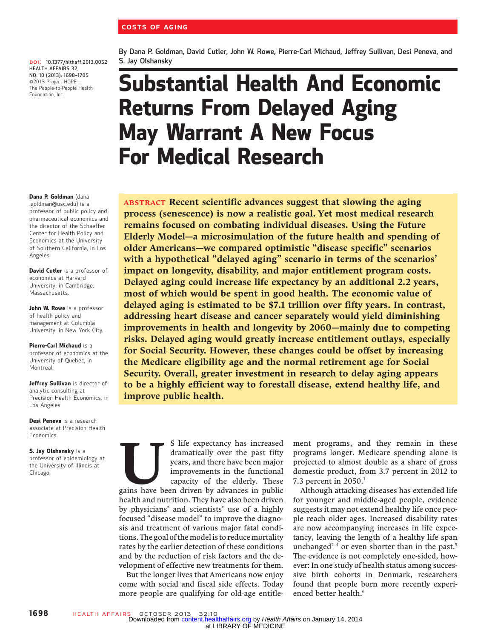DOI: 10.1377/hlthaff.2013.0052 HEALTH AFFAIRS 32, NO. 10 (2013): 1698*–*<sup>1705</sup> ©2013 Project HOPE— The People-to-People Health Foundation, Inc.

#### Dana P. Goldman (dana

.goldman@usc.edu) is a professor of public policy and pharmaceutical economics and the director of the Schaeffer Center for Health Policy and Economics at the University of Southern California, in Los Angeles.

**David Cutler** is a professor of economics at Harvard University, in Cambridge, Massachusetts.

John W. Rowe is a professor of health policy and management at Columbia University, in New York City.

Pierre-Carl Michaud is a professor of economics at the University of Quebec, in Montreal.

Jeffrey Sullivan is director of analytic consulting at Precision Health Economics, in Los Angeles.

Desi Peneva is a research associate at Precision Health Economics.

S. Jay Olshansky is a professor of epidemiology at the University of Illinois at Chicago.

By Dana P. Goldman, David Cutler, John W. Rowe, Pierre-Carl Michaud, Jeffrey Sullivan, Desi Peneva, and S. Jay Olshansky

# Substantial Health And Economic Returns From Delayed Aging May Warrant A New Focus For Medical Research

ABSTRACT Recent scientific advances suggest that slowing the aging process (senescence) is now a realistic goal. Yet most medical research remains focused on combating individual diseases. Using the Future Elderly Model—a microsimulation of the future health and spending of older Americans—we compared optimistic "disease specific" scenarios with a hypothetical "delayed aging" scenario in terms of the scenarios' impact on longevity, disability, and major entitlement program costs. Delayed aging could increase life expectancy by an additional 2.2 years, most of which would be spent in good health. The economic value of delayed aging is estimated to be \$7.1 trillion over fifty years. In contrast, addressing heart disease and cancer separately would yield diminishing improvements in health and longevity by 2060—mainly due to competing risks. Delayed aging would greatly increase entitlement outlays, especially for Social Security. However, these changes could be offset by increasing the Medicare eligibility age and the normal retirement age for Social Security. Overall, greater investment in research to delay aging appears to be a highly efficient way to forestall disease, extend healthy life, and improve public health.

S life expectancy has increased<br>dramatically over the past fifty<br>years, and there have been major<br>improvements in the functional<br>capacity of the elderly. These<br>gains have been driven by advances in public dramatically over the past fifty years, and there have been major improvements in the functional capacity of the elderly. These health and nutrition. They have also been driven by physicians' and scientists' use of a highly focused "disease model" to improve the diagnosis and treatment of various major fatal conditions. The goal of the model is to reduce mortality rates by the earlier detection of these conditions and by the reduction of risk factors and the development of effective new treatments for them.

But the longer lives that Americans now enjoy come with social and fiscal side effects. Today more people are q[ualifying for old-age e](http://content.healthaffairs.org/)ntitle-

ment programs, and they remain in these programs longer. Medicare spending alone is projected to almost double as a share of gross domestic product, from 3.7 percent in 2012 to 7.3 percent in  $2050<sup>1</sup>$ 

Although attacking diseases has extended life for younger and middle-aged people, evidence suggests it may not extend healthy life once people reach older ages. Increased disability rates are now accompanying increases in life expectancy, leaving the length of a healthy life span unchanged<sup>2-4</sup> or even shorter than in the past.<sup>5</sup> The evidence is not completely one-sided, however: In one study of health status among successive birth cohorts in Denmark, researchers found that people born more recently experienced better health.<sup>6</sup>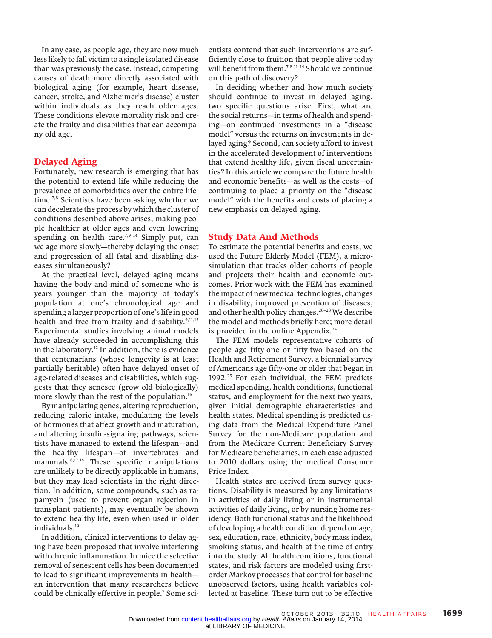In any case, as people age, they are now much less likely to fall victim to a single isolated disease than was previously the case. Instead, competing causes of death more directly associated with biological aging (for example, heart disease, cancer, stroke, and Alzheimer's disease) cluster within individuals as they reach older ages. These conditions elevate mortality risk and create the frailty and disabilities that can accompany old age.

# Delayed Aging

Fortunately, new research is emerging that has the potential to extend life while reducing the prevalence of comorbidities over the entire lifetime.7,8 Scientists have been asking whether we can decelerate the process by which the cluster of conditions described above arises, making people healthier at older ages and even lowering spending on health care.<sup>7,9-14</sup> Simply put, can we age more slowly—thereby delaying the onset and progression of all fatal and disabling diseases simultaneously?

At the practical level, delayed aging means having the body and mind of someone who is years younger than the majority of today's population at one's chronological age and spending a larger proportion of one's life in good health and free from frailty and disability.<sup>9,11,15</sup> Experimental studies involving animal models have already succeeded in accomplishing this in the laboratory.<sup>12</sup> In addition, there is evidence that centenarians (whose longevity is at least partially heritable) often have delayed onset of age-related diseases and disabilities, which suggests that they senesce (grow old biologically) more slowly than the rest of the population.<sup>16</sup>

By manipulating genes, altering reproduction, reducing caloric intake, modulating the levels of hormones that affect growth and maturation, and altering insulin-signaling pathways, scientists have managed to extend the lifespan—and the healthy lifespan—of invertebrates and mammals.<sup>8,17,18</sup> These specific manipulations are unlikely to be directly applicable in humans, but they may lead scientists in the right direction. In addition, some compounds, such as rapamycin (used to prevent organ rejection in transplant patients), may eventually be shown to extend healthy life, even when used in older individuals.<sup>19</sup>

In addition, clinical interventions to delay aging have been proposed that involve interfering with chronic inflammation. In mice the selective removal of senescent cells has been documented to lead to significant improvements in health an intervention that many researchers believe could be clinically effective in people.7 Some scientists contend that such interventions are sufficiently close to fruition that people alive today will benefit from them.<sup>7,8,11-14</sup> Should we continue on this path of discovery?

In deciding whether and how much society should continue to invest in delayed aging, two specific questions arise. First, what are the social returns—in terms of health and spending—on continued investments in a "disease model" versus the returns on investments in delayed aging? Second, can society afford to invest in the accelerated development of interventions that extend healthy life, given fiscal uncertainties? In this article we compare the future health and economic benefits—as well as the costs—of continuing to place a priority on the "disease model" with the benefits and costs of placing a new emphasis on delayed aging.

## Study Data And Methods

To estimate the potential benefits and costs, we used the Future Elderly Model (FEM), a microsimulation that tracks older cohorts of people and projects their health and economic outcomes. Prior work with the FEM has examined the impact of new medical technologies, changes in disability, improved prevention of diseases, and other health policy changes.<sup>20-23</sup> We describe the model and methods briefly here; more detail is provided in the online Appendix. $24$ 

The FEM models representative cohorts of people age fifty-one or fifty-two based on the Health and Retirement Survey, a biennial survey of Americans age fifty-one or older that began in 1992.<sup>25</sup> For each individual, the FEM predicts medical spending, health conditions, functional status, and employment for the next two years, given initial demographic characteristics and health states. Medical spending is predicted using data from the Medical Expenditure Panel Survey for the non-Medicare population and from the Medicare Current Beneficiary Survey for Medicare beneficiaries, in each case adjusted to 2010 dollars using the medical Consumer Price Index.

Health states are derived from survey questions. Disability is measured by any limitations in activities of daily living or in instrumental activities of daily living, or by nursing home residency. Both functional status and the likelihood of developing a health condition depend on age, sex, education, race, ethnicity, body mass index, smoking status, and health at the time of entry into the study. All health conditions, functional states, and risk factors are modeled using firstorder Markov processes that control for baseline unobserved factors, using health variables col[lected at baselin](http://content.healthaffairs.org/)e. These turn out to be effective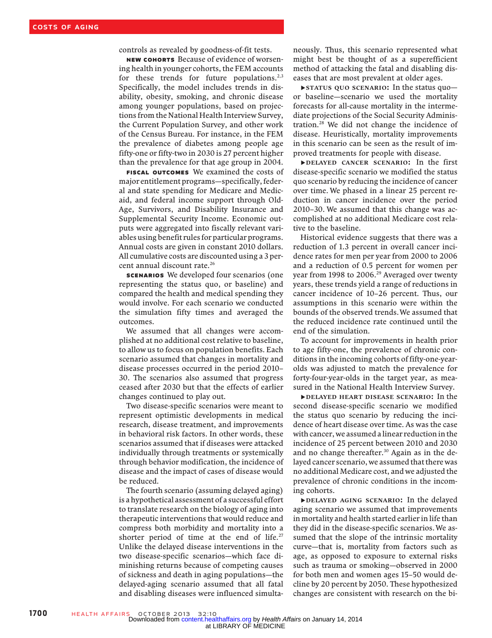controls as revealed by goodness-of-fit tests.

New Cohorts Because of evidence of worsening health in younger cohorts, the FEM accounts for these trends for future populations.<sup>2,3</sup> Specifically, the model includes trends in disability, obesity, smoking, and chronic disease among younger populations, based on projections from the National Health Interview Survey, the Current Population Survey, and other work of the Census Bureau. For instance, in the FEM the prevalence of diabetes among people age fifty-one or fifty-two in 2030 is 27 percent higher than the prevalence for that age group in 2004.

FISCAL OUTCOMES We examined the costs of major entitlement programs—specifically, federal and state spending for Medicare and Medicaid, and federal income support through Old-Age, Survivors, and Disability Insurance and Supplemental Security Income. Economic outputs were aggregated into fiscally relevant variables using benefit rules for particular programs. Annual costs are given in constant 2010 dollars. All cumulative costs are discounted using a 3 percent annual discount rate.<sup>26</sup>

Scenarios We developed four scenarios (one representing the status quo, or baseline) and compared the health and medical spending they would involve. For each scenario we conducted the simulation fifty times and averaged the outcomes.

We assumed that all changes were accomplished at no additional cost relative to baseline, to allow us to focus on population benefits. Each scenario assumed that changes in mortality and disease processes occurred in the period 2010– 30. The scenarios also assumed that progress ceased after 2030 but that the effects of earlier changes continued to play out.

Two disease-specific scenarios were meant to represent optimistic developments in medical research, disease treatment, and improvements in behavioral risk factors. In other words, these scenarios assumed that if diseases were attacked individually through treatments or systemically through behavior modification, the incidence of disease and the impact of cases of disease would be reduced.

The fourth scenario (assuming delayed aging) is a hypothetical assessment of a successful effort to translate research on the biology of aging into therapeutic interventions that would reduce and compress both morbidity and mortality into a shorter period of time at the end of life. $27$ Unlike the delayed disease interventions in the two disease-specific scenarios—which face diminishing returns because of competing causes of sickness and death in aging populations—the delayed-aging scenario assumed that all fatal and disabling disea[ses were influenced si](http://content.healthaffairs.org/)multa-

neously. Thus, this scenario represented what might best be thought of as a superefficient method of attacking the fatal and disabling diseases that are most prevalent at older ages.

▸STATUS QUO SCENARIO: In the status quo or baseline—scenario we used the mortality forecasts for all-cause mortality in the intermediate projections of the Social Security Administration.28 We did not change the incidence of disease. Heuristically, mortality improvements in this scenario can be seen as the result of improved treatments for people with disease.

▸DELAYED CANCER SCENARIO: In the first disease-specific scenario we modified the status quo scenario by reducing the incidence of cancer over time. We phased in a linear 25 percent reduction in cancer incidence over the period 2010–30. We assumed that this change was accomplished at no additional Medicare cost relative to the baseline.

Historical evidence suggests that there was a reduction of 1.3 percent in overall cancer incidence rates for men per year from 2000 to 2006 and a reduction of 0.5 percent for women per year from 1998 to 2006.<sup>29</sup> Averaged over twenty years, these trends yield a range of reductions in cancer incidence of 10–26 percent. Thus, our assumptions in this scenario were within the bounds of the observed trends.We assumed that the reduced incidence rate continued until the end of the simulation.

To account for improvements in health prior to age fifty-one, the prevalence of chronic conditions in the incoming cohorts of fifty-one-yearolds was adjusted to match the prevalence for forty-four-year-olds in the target year, as measured in the National Health Interview Survey.

▸DELAYED HEART DISEASE SCENARIO: In the second disease-specific scenario we modified the status quo scenario by reducing the incidence of heart disease over time. As was the case with cancer, we assumed a linear reduction in the incidence of 25 percent between 2010 and 2030 and no change thereafter.<sup>30</sup> Again as in the delayed cancer scenario, we assumed that there was no additional Medicare cost, and we adjusted the prevalence of chronic conditions in the incoming cohorts.

▸DELAYED AGING SCENARIO: In the delayed aging scenario we assumed that improvements in mortality and health started earlier in life than they did in the disease-specific scenarios.We assumed that the slope of the intrinsic mortality curve—that is, mortality from factors such as age, as opposed to exposure to external risks such as trauma or smoking—observed in 2000 for both men and women ages 15–50 would decline by 20 percent by 2050. These hypothesized changes are consistent with research on the bi-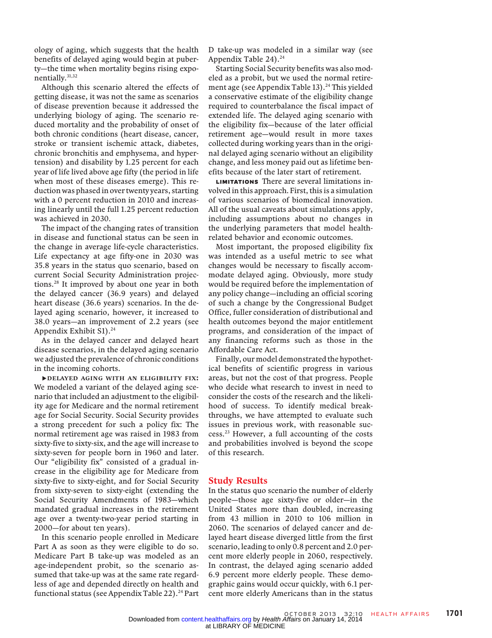ology of aging, which suggests that the health benefits of delayed aging would begin at puberty—the time when mortality begins rising exponentially.<sup>31,32</sup>

Although this scenario altered the effects of getting disease, it was not the same as scenarios of disease prevention because it addressed the underlying biology of aging. The scenario reduced mortality and the probability of onset of both chronic conditions (heart disease, cancer, stroke or transient ischemic attack, diabetes, chronic bronchitis and emphysema, and hypertension) and disability by 1.25 percent for each year of life lived above age fifty (the period in life when most of these diseases emerge). This reduction was phased in over twenty years, starting with a 0 percent reduction in 2010 and increasing linearly until the full 1.25 percent reduction was achieved in 2030.

The impact of the changing rates of transition in disease and functional status can be seen in the change in average life-cycle characteristics. Life expectancy at age fifty-one in 2030 was 35.8 years in the status quo scenario, based on current Social Security Administration projections.28 It improved by about one year in both the delayed cancer (36.9 years) and delayed heart disease (36.6 years) scenarios. In the delayed aging scenario, however, it increased to 38.0 years—an improvement of 2.2 years (see Appendix Exhibit S1).<sup>24</sup>

As in the delayed cancer and delayed heart disease scenarios, in the delayed aging scenario we adjusted the prevalence of chronic conditions in the incoming cohorts.

▸DELAYED AGING WITH AN ELIGIBILITY FIX: We modeled a variant of the delayed aging scenario that included an adjustment to the eligibility age for Medicare and the normal retirement age for Social Security. Social Security provides a strong precedent for such a policy fix: The normal retirement age was raised in 1983 from sixty-five to sixty-six, and the age will increase to sixty-seven for people born in 1960 and later. Our "eligibility fix" consisted of a gradual increase in the eligibility age for Medicare from sixty-five to sixty-eight, and for Social Security from sixty-seven to sixty-eight (extending the Social Security Amendments of 1983—which mandated gradual increases in the retirement age over a twenty-two-year period starting in 2000—for about ten years).

In this scenario people enrolled in Medicare Part A as soon as they were eligible to do so. Medicare Part B take-up was modeled as an age-independent probit, so the scenario assumed that take-up was at the same rate regardless of age and depended directly on health and functional status (see Appendix Table 22).<sup>24</sup> Part

D take-up was modeled in a similar way (see Appendix Table  $24$ ).<sup>24</sup>

Starting Social Security benefits was also modeled as a probit, but we used the normal retirement age (see Appendix Table 13).<sup>24</sup> This yielded a conservative estimate of the eligibility change required to counterbalance the fiscal impact of extended life. The delayed aging scenario with the eligibility fix—because of the later official retirement age—would result in more taxes collected during working years than in the original delayed aging scenario without an eligibility change, and less money paid out as lifetime benefits because of the later start of retirement.

Limitations There are several limitations involved in this approach. First, this is a simulation of various scenarios of biomedical innovation. All of the usual caveats about simulations apply, including assumptions about no changes in the underlying parameters that model healthrelated behavior and economic outcomes.

Most important, the proposed eligibility fix was intended as a useful metric to see what changes would be necessary to fiscally accommodate delayed aging. Obviously, more study would be required before the implementation of any policy change—including an official scoring of such a change by the Congressional Budget Office, fuller consideration of distributional and health outcomes beyond the major entitlement programs, and consideration of the impact of any financing reforms such as those in the Affordable Care Act.

Finally, our model demonstrated the hypothetical benefits of scientific progress in various areas, but not the cost of that progress. People who decide what research to invest in need to consider the costs of the research and the likelihood of success. To identify medical breakthroughs, we have attempted to evaluate such issues in previous work, with reasonable success.23 However, a full accounting of the costs and probabilities involved is beyond the scope of this research.

### Study Results

In the status quo scenario the number of elderly people—those age sixty-five or older—in the United States more than doubled, increasing from 43 million in 2010 to 106 million in 2060. The scenarios of delayed cancer and delayed heart disease diverged little from the first scenario, leading to only 0.8 percent and 2.0 percent more elderly people in 2060, respectively. In contrast, the delayed aging scenario added 6.9 percent more elderly people. These demographic gains would occur quickly, with 6.1 per[cent more elder](http://content.healthaffairs.org/)ly Americans than in the status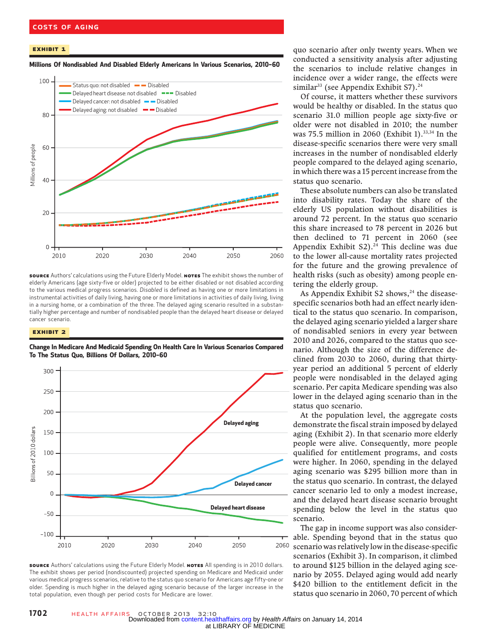#### Exhibit 1





source Authors' calculations using the Future Elderly Model. Notes The exhibit shows the number of elderly Americans (age sixty-five or older) projected to be either disabled or not disabled according to the various medical progress scenarios. Disabled is defined as having one or more limitations in instrumental activities of daily living, having one or more limitations in activities of daily living, living in a nursing home, or a combination of the three. The delayed aging scenario resulted in a substantially higher percentage and number of nondisabled people than the delayed heart disease or delayed cancer scenario.

Exhibit 2

Change In Medicare And Medicaid Spending On Health Care In Various Scenarios Compared To The Status Quo, Billions Of Dollars, 2010–<sup>60</sup>



source Authors' calculations using the Future Elderly Model. NOTES All spending is in 2010 dollars. The exhibit shows per period (nondiscounted) projected spending on Medicare and Medicaid under various medical progress scenarios, relative to the status quo scenario for Americans age fifty-one or older. Spending is much higher in the delayed aging scenario because of the larger increase in the total population, even though per period costs for Medicare [are lower.](http://content.healthaffairs.org/)

quo scenario after only twenty years. When we conducted a sensitivity analysis after adjusting the scenarios to include relative changes in incidence over a wider range, the effects were similar<sup>33</sup> (see Appendix Exhibit S7).<sup>24</sup>

Of course, it matters whether these survivors would be healthy or disabled. In the status quo scenario 31.0 million people age sixty-five or older were not disabled in 2010; the number was 75.5 million in 2060 (Exhibit 1). $33,34$  In the disease-specific scenarios there were very small increases in the number of nondisabled elderly people compared to the delayed aging scenario, in which there was a 15 percent increase from the status quo scenario.

These absolute numbers can also be translated into disability rates. Today the share of the elderly US population without disabilities is around 72 percent. In the status quo scenario this share increased to 78 percent in 2026 but then declined to 71 percent in 2060 (see Appendix Exhibit S2).<sup>24</sup> This decline was due to the lower all-cause mortality rates projected for the future and the growing prevalence of health risks (such as obesity) among people entering the elderly group.

As Appendix Exhibit S2 shows, $24$  the diseasespecific scenarios both had an effect nearly identical to the status quo scenario. In comparison, the delayed aging scenario yielded a larger share of nondisabled seniors in every year between 2010 and 2026, compared to the status quo scenario. Although the size of the difference declined from 2030 to 2060, during that thirtyyear period an additional 5 percent of elderly people were nondisabled in the delayed aging scenario. Per capita Medicare spending was also lower in the delayed aging scenario than in the status quo scenario.

At the population level, the aggregate costs demonstrate the fiscal strain imposed by delayed aging (Exhibit 2). In that scenario more elderly people were alive. Consequently, more people qualified for entitlement programs, and costs were higher. In 2060, spending in the delayed aging scenario was \$295 billion more than in the status quo scenario. In contrast, the delayed cancer scenario led to only a modest increase, and the delayed heart disease scenario brought spending below the level in the status quo scenario.

The gap in income support was also considerable. Spending beyond that in the status quo scenario was relatively low in the disease-specific scenarios (Exhibit 3). In comparison, it climbed to around \$125 billion in the delayed aging scenario by 2055. Delayed aging would add nearly \$420 billion to the entitlement deficit in the status quo scenario in 2060, 70 percent of which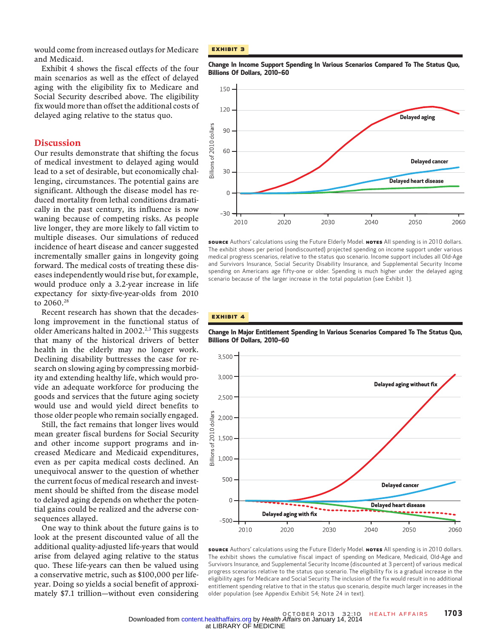would come from increased outlays for Medicare and Medicaid.

Exhibit 4 shows the fiscal effects of the four main scenarios as well as the effect of delayed aging with the eligibility fix to Medicare and Social Security described above. The eligibility fix would more than offset the additional costs of delayed aging relative to the status quo.

# **Discussion**

Our results demonstrate that shifting the focus of medical investment to delayed aging would lead to a set of desirable, but economically challenging, circumstances. The potential gains are significant. Although the disease model has reduced mortality from lethal conditions dramatically in the past century, its influence is now waning because of competing risks. As people live longer, they are more likely to fall victim to multiple diseases. Our simulations of reduced incidence of heart disease and cancer suggested incrementally smaller gains in longevity going forward. The medical costs of treating these diseases independently would rise but, for example, would produce only a 3.2-year increase in life expectancy for sixty-five-year-olds from 2010 to 2060.<sup>28</sup>

Recent research has shown that the decadeslong improvement in the functional status of older Americans halted in  $2002.^{2,3}$  This suggests that many of the historical drivers of better health in the elderly may no longer work. Declining disability buttresses the case for research on slowing aging by compressing morbidity and extending healthy life, which would provide an adequate workforce for producing the goods and services that the future aging society would use and would yield direct benefits to those older people who remain socially engaged.

Still, the fact remains that longer lives would mean greater fiscal burdens for Social Security and other income support programs and increased Medicare and Medicaid expenditures, even as per capita medical costs declined. An unequivocal answer to the question of whether the current focus of medical research and investment should be shifted from the disease model to delayed aging depends on whether the potential gains could be realized and the adverse consequences allayed.

One way to think about the future gains is to look at the present discounted value of all the additional quality-adjusted life-years that would arise from delayed aging relative to the status quo. These life-years can then be valued using a conservative metric, such as \$100,000 per lifeyear. Doing so yields a social benefit of approximately \$7.1 trillion—without even considering

#### Exhibit 3

Change In Income Support Spending In Various Scenarios Compared To The Status Quo, Billions Of Dollars, 2010–<sup>60</sup>



source Authors' calculations using the Future Elderly Model. NOTES All spending is in 2010 dollars. The exhibit shows per period (nondiscounted) projected spending on income support under various medical progress scenarios, relative to the status quo scenario. Income support includes all Old-Age and Survivors Insurance, Social Security Disability Insurance, and Supplemental Security Income spending on Americans age fifty-one or older. Spending is much higher under the delayed aging scenario because of the larger increase in the total population (see Exhibit 1).

#### Exhibit 4



Change In Major Entitlement Spending In Various Scenarios Compared To The Status Quo, Billions Of Dollars, 2010–<sup>60</sup>

source Authors' calculations using the Future Elderly Model. NoTES All spending is in 2010 dollars. The exhibit shows the cumulative fiscal impact of spending on Medicare, Medicaid, Old-Age and Survivors Insurance, and Supplemental Security Income (discounted at 3 percent) of various medical progress scenarios relative to the status quo scenario. The eligibility fix is a gradual increase in the eligibility ages for Medicare and Social Security. The inclusion of the fix would result in no additional entitlement spending relative to that in the status quo scenario, despite much larger increases in the [older population \(see](http://content.healthaffairs.org/) Appendix Exhibit S4; Note 24 in text).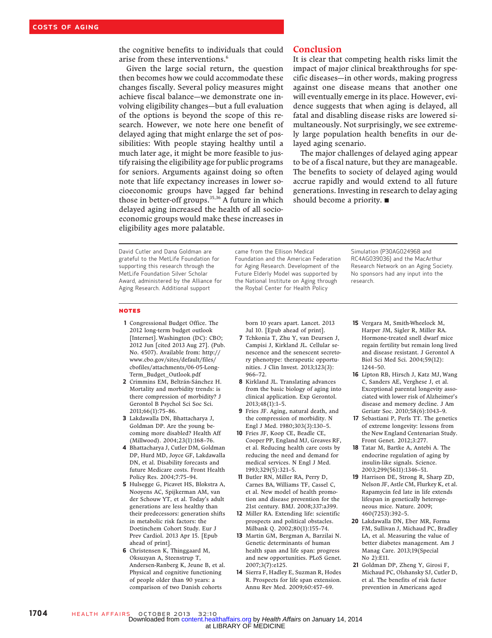the cognitive benefits to individuals that could arise from these interventions.<sup>6</sup>

Given the large social return, the question then becomes how we could accommodate these changes fiscally. Several policy measures might achieve fiscal balance—we demonstrate one involving eligibility changes—but a full evaluation of the options is beyond the scope of this research. However, we note here one benefit of delayed aging that might enlarge the set of possibilities: With people staying healthy until a much later age, it might be more feasible to justify raising the eligibility age for public programs for seniors. Arguments against doing so often note that life expectancy increases in lower socioeconomic groups have lagged far behind those in better-off groups.35,36 A future in which delayed aging increased the health of all socioeconomic groups would make these increases in eligibility ages more palatable.

# **Conclusion**

It is clear that competing health risks limit the impact of major clinical breakthroughs for specific diseases—in other words, making progress against one disease means that another one will eventually emerge in its place. However, evidence suggests that when aging is delayed, all fatal and disabling disease risks are lowered simultaneously. Not surprisingly, we see extremely large population health benefits in our delayed aging scenario.

The major challenges of delayed aging appear to be of a fiscal nature, but they are manageable. The benefits to society of delayed aging would accrue rapidly and would extend to all future generations. Investing in research to delay aging should become a priority.  $\blacksquare$ 

David Cutler and Dana Goldman are grateful to the MetLife Foundation for supporting this research through the MetLife Foundation Silver Scholar Award, administered by the Alliance for Aging Research. Additional support

came from the Ellison Medical Foundation and the American Federation for Aging Research. Development of the Future Elderly Model was supported by the National Institute on Aging through the Roybal Center for Health Policy

Simulation (P30AG024968 and RC4AG039036) and the MacArthur Research Network on an Aging Society. No sponsors had any input into the research.

#### NOTES

- 1 Congressional Budget Office. The 2012 long-term budget outlook [Internet]. Washington (DC): CBO; 2012 Jun [cited 2013 Aug 27]. (Pub. No. 4507). Available from: http:// www.cbo.gov/sites/default/files/ cbofiles/attachments/06-05-Long-Term\_Budget\_Outlook.pdf
- 2 Crimmins EM, Beltrán-Sánchez H. Mortality and morbidity trends: is there compression of morbidity? J Gerontol B Psychol Sci Soc Sci. 2011;66(1):75–86.
- 3 Lakdawalla DN, Bhattacharya J, Goldman DP. Are the young becoming more disabled? Health Aff (Millwood). 2004;23(1):168–76.
- 4 Bhattacharya J, Cutler DM, Goldman DP, Hurd MD, Joyce GF, Lakdawalla DN, et al. Disability forecasts and future Medicare costs. Front Health Policy Res. 2004;7:75–94.
- 5 Hulsegge G, Picavet HS, Blokstra A, Nooyens AC, Spijkerman AM, van der Schouw YT, et al. Today's adult generations are less healthy than their predecessors: generation shifts in metabolic risk factors: the Doetinchem Cohort Study. Eur J Prev Cardiol. 2013 Apr 15. [Epub ahead of print].
- 6 Christensen K, Thinggaard M, Oksuzyan A, Steenstrup T, Andersen-Ranberg K, Jeune B, et al. Physical and cognitive functioning of people older than 90 years: a comparison of two Danish cohorts

born 10 years apart. Lancet. 2013 Jul 10. [Epub ahead of print].

- 7 Tchkonia T, Zhu Y, van Deursen J, Campisi J, Kirkland JL. Cellular senescence and the senescent secretory phenotype: therapeutic opportunities. J Clin Invest. 2013;123(3): 966–72.
- 8 Kirkland JL. Translating advances from the basic biology of aging into clinical application. Exp Gerontol. 2013;48(1):1–5.
- 9 Fries JF. Aging, natural death, and the compression of morbidity. N Engl J Med. 1980;303(3):130–5.
- 10 Fries JF, Koop CE, Beadle CE, Cooper PP, England MJ, Greaves RF, et al. Reducing health care costs by reducing the need and demand for medical services. N Engl J Med. 1993;329(5):321–5.
- 11 Butler RN, Miller RA, Perry D, Carnes BA, Williams TF, Cassel C, et al. New model of health promotion and disease prevention for the 21st century. BMJ. 2008;337:a399.
- 12 Miller RA. Extending life: scientific prospects and political obstacles. Milbank Q. 2002;80(1):155–74.
- 13 Martin GM, Bergman A, Barzilai N. Genetic determinants of human health span and life span: progress and new opportunities. PLoS Genet. 2007;3(7):e125.
- 14 Sierra F, Hadley E, Suzman R, Hodes R. Prospects for life span extension. Annu Rev Med. 2009;60:457–69.
- 15 Vergara M, Smith-Wheelock M, Harper JM, Sigler R, Miller RA. Hormone-treated snell dwarf mice regain fertility but remain long lived and disease resistant. J Gerontol A Biol Sci Med Sci. 2004;59(12): 1244–50.
- 16 Lipton RB, Hirsch J, Katz MJ, Wang C, Sanders AE, Verghese J, et al. Exceptional parental longevity associated with lower risk of Alzheimer's disease and memory decline. J Am Geriatr Soc. 2010;58(6):1043–9.
- 17 Sebastiani P, Perls TT. The genetics of extreme longevity: lessons from the New England Centenarian Study. Front Genet. 2012;3:277.
- 18 Tatar M, Bartke A, Antebi A. The endocrine regulation of aging by insulin-like signals. Science. 2003;299(5611):1346–51.
- 19 Harrison DE, Strong R, Sharp ZD, Nelson JF, Astle CM, Flurkey K, et al. Rapamycin fed late in life extends lifespan in genetically heterogeneous mice. Nature. 2009; 460(7253):392–5.
- 20 Lakdawalla DN, Eber MR, Forma FM, Sullivan J, Michaud PC, Bradley LA, et al. Measuring the value of better diabetes management. Am J Manag Care. 2013;19(Special No 2):E11.
- 21 Goldman DP, Zheng Y, Girosi F, Michaud PC, Olshansky SJ, Cutler D, et al. The benefits of risk factor prevention in Americans aged